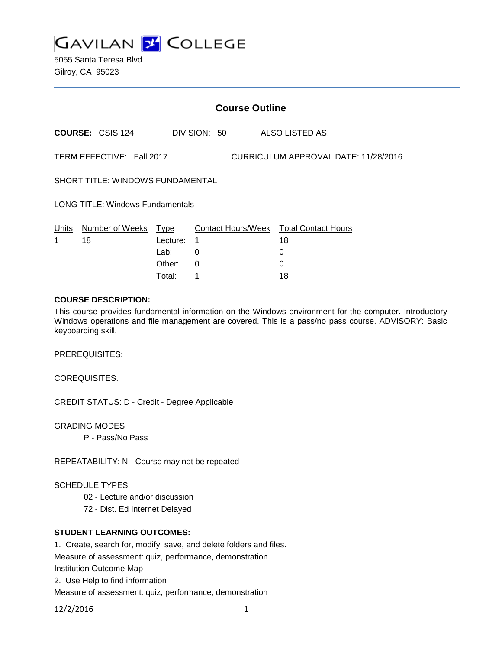

5055 Santa Teresa Blvd Gilroy, CA 95023

| <b>Course Outline</b>                                             |                         |                          |              |  |                                              |
|-------------------------------------------------------------------|-------------------------|--------------------------|--------------|--|----------------------------------------------|
|                                                                   | <b>COURSE: CSIS 124</b> |                          | DIVISION: 50 |  | ALSO LISTED AS:                              |
| TERM EFFECTIVE: Fall 2017<br>CURRICULUM APPROVAL DATE: 11/28/2016 |                         |                          |              |  |                                              |
| <b>SHORT TITLE: WINDOWS FUNDAMENTAL</b>                           |                         |                          |              |  |                                              |
| <b>LONG TITLE: Windows Fundamentals</b>                           |                         |                          |              |  |                                              |
| Units<br>1                                                        | Number of Weeks<br>18   | Type<br>Lecture:<br>Lab: | 1<br>0       |  | Contact Hours/Week Total Contact Hours<br>18 |

Other: 0 0 Total: 1 18

#### **COURSE DESCRIPTION:**

This course provides fundamental information on the Windows environment for the computer. Introductory Windows operations and file management are covered. This is a pass/no pass course. ADVISORY: Basic keyboarding skill.

PREREQUISITES:

COREQUISITES:

CREDIT STATUS: D - Credit - Degree Applicable

GRADING MODES

P - Pass/No Pass

REPEATABILITY: N - Course may not be repeated

# SCHEDULE TYPES:

- 02 Lecture and/or discussion
- 72 Dist. Ed Internet Delayed

# **STUDENT LEARNING OUTCOMES:**

1. Create, search for, modify, save, and delete folders and files. Measure of assessment: quiz, performance, demonstration Institution Outcome Map 2. Use Help to find information Measure of assessment: quiz, performance, demonstration

12/2/2016 1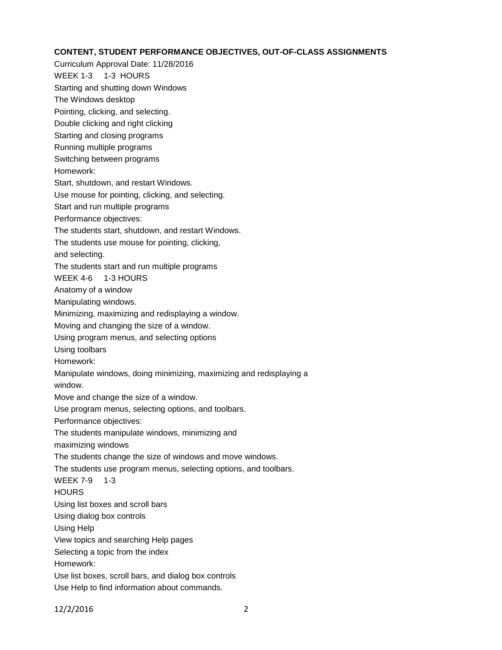# **CONTENT, STUDENT PERFORMANCE OBJECTIVES, OUT-OF-CLASS ASSIGNMENTS**

Curriculum Approval Date: 11/28/2016 WEEK 1-3 1-3 HOURS Starting and shutting down Windows The Windows desktop Pointing, clicking, and selecting. Double clicking and right clicking Starting and closing programs Running multiple programs Switching between programs Homework: Start, shutdown, and restart Windows. Use mouse for pointing, clicking, and selecting. Start and run multiple programs Performance objectives: The students start, shutdown, and restart Windows. The students use mouse for pointing, clicking, and selecting. The students start and run multiple programs WEEK 4-6 1-3 HOURS Anatomy of a window Manipulating windows. Minimizing, maximizing and redisplaying a window. Moving and changing the size of a window. Using program menus, and selecting options Using toolbars Homework: Manipulate windows, doing minimizing, maximizing and redisplaying a window. Move and change the size of a window. Use program menus, selecting options, and toolbars. Performance objectives: The students manipulate windows, minimizing and maximizing windows The students change the size of windows and move windows. The students use program menus, selecting options, and toolbars. WEEK 7-9 1-3 **HOURS** Using list boxes and scroll bars Using dialog box controls Using Help View topics and searching Help pages Selecting a topic from the index Homework: Use list boxes, scroll bars, and dialog box controls Use Help to find information about commands.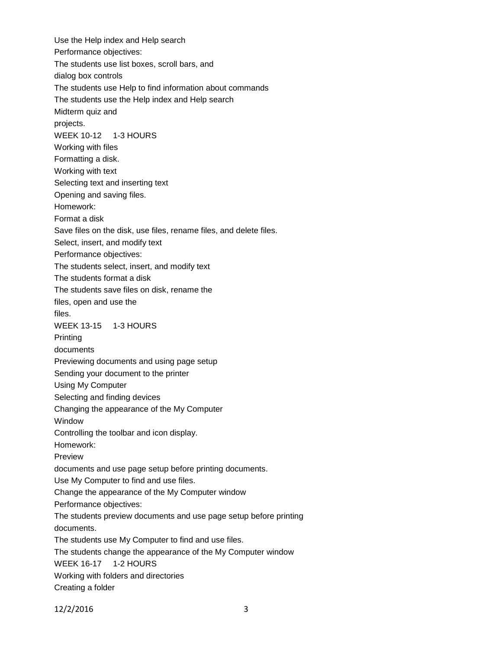Use the Help index and Help search Performance objectives: The students use list boxes, scroll bars, and dialog box controls The students use Help to find information about commands The students use the Help index and Help search Midterm quiz and projects. WEEK 10-12 1-3 HOURS Working with files Formatting a disk. Working with text Selecting text and inserting text Opening and saving files. Homework: Format a disk Save files on the disk, use files, rename files, and delete files. Select, insert, and modify text Performance objectives: The students select, insert, and modify text The students format a disk The students save files on disk, rename the files, open and use the files. WEEK 13-15 1-3 HOURS Printing documents Previewing documents and using page setup Sending your document to the printer Using My Computer Selecting and finding devices Changing the appearance of the My Computer Window Controlling the toolbar and icon display. Homework: Preview documents and use page setup before printing documents. Use My Computer to find and use files. Change the appearance of the My Computer window Performance objectives: The students preview documents and use page setup before printing documents. The students use My Computer to find and use files. The students change the appearance of the My Computer window WEEK 16-17 1-2 HOURS Working with folders and directories Creating a folder

12/2/2016 3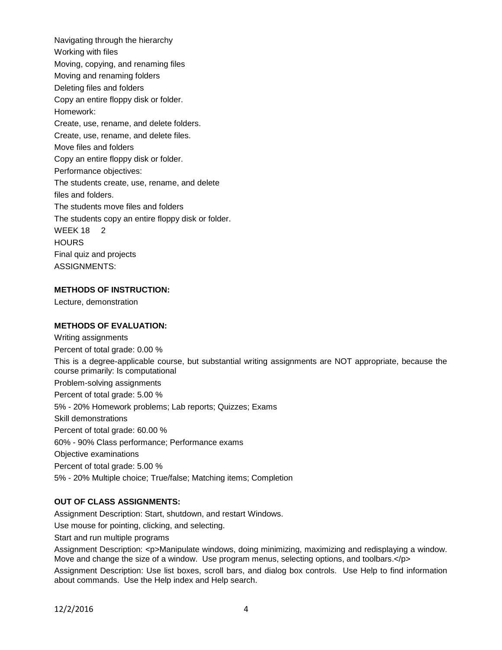Navigating through the hierarchy Working with files Moving, copying, and renaming files Moving and renaming folders Deleting files and folders Copy an entire floppy disk or folder. Homework: Create, use, rename, and delete folders. Create, use, rename, and delete files. Move files and folders Copy an entire floppy disk or folder. Performance objectives: The students create, use, rename, and delete files and folders. The students move files and folders The students copy an entire floppy disk or folder. WEEK 18 2 **HOURS** Final quiz and projects ASSIGNMENTS:

# **METHODS OF INSTRUCTION:**

Lecture, demonstration

### **METHODS OF EVALUATION:**

Writing assignments Percent of total grade: 0.00 % This is a degree-applicable course, but substantial writing assignments are NOT appropriate, because the course primarily: Is computational Problem-solving assignments Percent of total grade: 5.00 % 5% - 20% Homework problems; Lab reports; Quizzes; Exams Skill demonstrations Percent of total grade: 60.00 % 60% - 90% Class performance; Performance exams Objective examinations Percent of total grade: 5.00 % 5% - 20% Multiple choice; True/false; Matching items; Completion

# **OUT OF CLASS ASSIGNMENTS:**

Assignment Description: Start, shutdown, and restart Windows.

Use mouse for pointing, clicking, and selecting.

Start and run multiple programs

Assignment Description: <p>Manipulate windows, doing minimizing, maximizing and redisplaying a window. Move and change the size of a window. Use program menus, selecting options, and toolbars.</p>

Assignment Description: Use list boxes, scroll bars, and dialog box controls. Use Help to find information about commands. Use the Help index and Help search.